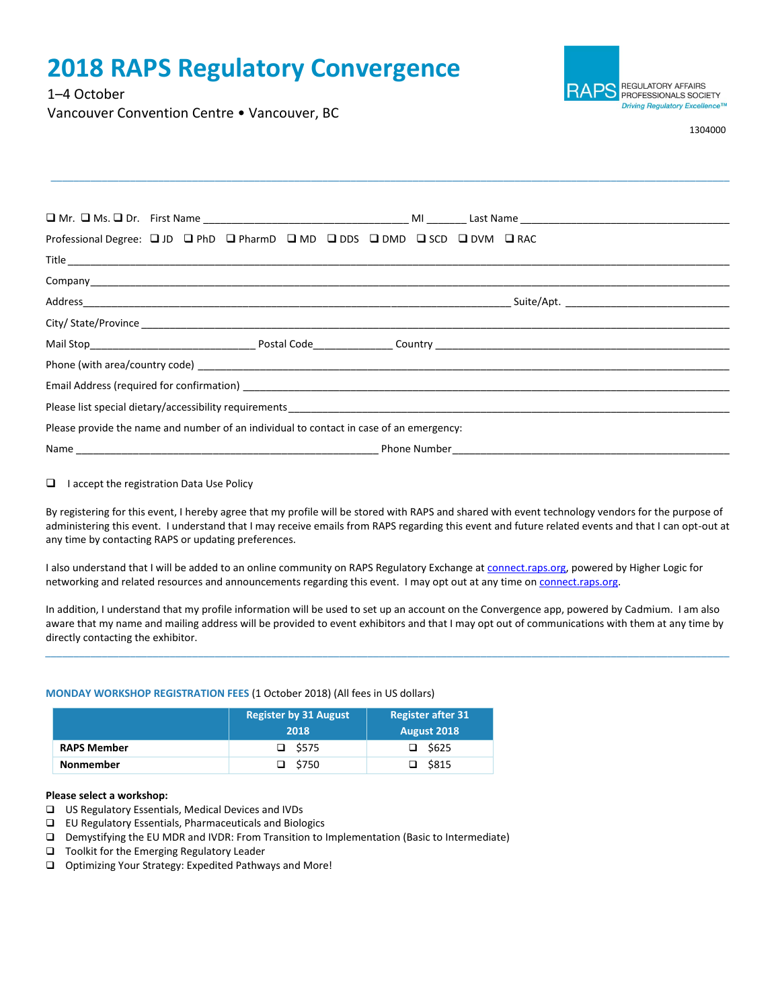# **2018 RAPS Regulatory Convergence**

1–4 October

RAPS REGULATORY AFFAIRS PROFESSIONALS SOCIETY Driving Regulatory Excellence™

1304000

Vancouver Convention Centre • Vancouver, BC

| Professional Degree: [ J JD   C   PhD   C   PharmD   C   MD   C   DDS   C   DMD   C   SCD   C   DVM   C   RAC |  |  |  |  |  |  |  |  |
|---------------------------------------------------------------------------------------------------------------|--|--|--|--|--|--|--|--|
|                                                                                                               |  |  |  |  |  |  |  |  |
|                                                                                                               |  |  |  |  |  |  |  |  |
|                                                                                                               |  |  |  |  |  |  |  |  |
|                                                                                                               |  |  |  |  |  |  |  |  |
|                                                                                                               |  |  |  |  |  |  |  |  |
|                                                                                                               |  |  |  |  |  |  |  |  |
|                                                                                                               |  |  |  |  |  |  |  |  |
|                                                                                                               |  |  |  |  |  |  |  |  |
| Please provide the name and number of an individual to contact in case of an emergency:                       |  |  |  |  |  |  |  |  |
|                                                                                                               |  |  |  |  |  |  |  |  |

\_\_\_\_\_\_\_\_\_\_\_\_\_\_\_\_\_\_\_\_\_\_\_\_\_\_\_\_\_\_\_\_\_\_\_\_\_\_\_\_\_\_\_\_\_\_\_\_\_\_\_\_\_\_\_\_\_\_\_\_\_\_\_\_\_\_\_\_\_\_\_\_\_\_\_\_\_\_\_\_\_\_\_\_\_\_\_\_\_\_\_\_\_\_\_\_\_\_\_\_\_\_\_\_\_\_\_\_\_\_\_\_\_\_\_\_\_\_\_\_

# ❑ I accept the registration Data Use Policy

By registering for this event, I hereby agree that my profile will be stored with RAPS and shared with event technology vendors for the purpose of administering this event. I understand that I may receive emails from RAPS regarding this event and future related events and that I can opt-out at any time by contacting RAPS or updating preferences.

I also understand that I will be added to an online community on RAPS Regulatory Exchange at [connect.raps.org,](https://connect.raps.org/) powered by Higher Logic for networking and related resources and announcements regarding this event. I may opt out at any time o[n connect.raps.org.](https://connect.raps.org/)

In addition, I understand that my profile information will be used to set up an account on the Convergence app, powered by Cadmium. I am also aware that my name and mailing address will be provided to event exhibitors and that I may opt out of communications with them at any time by directly contacting the exhibitor.

\_\_\_\_\_\_\_\_\_\_\_\_\_\_\_\_\_\_\_\_\_\_\_\_\_\_\_\_\_\_\_\_\_\_\_\_\_\_\_\_\_\_\_\_\_\_\_\_\_\_\_\_\_\_\_\_\_\_\_\_\_\_\_\_\_\_\_\_\_\_\_\_\_\_\_\_\_\_\_\_\_\_\_\_\_\_\_\_\_\_\_\_\_\_\_\_\_\_\_\_\_\_\_\_\_\_\_\_\_\_\_\_\_\_\_\_\_\_\_\_\_

# **MONDAY WORKSHOP REGISTRATION FEES** (1 October 2018) (All fees in US dollars)

|                    | <b>Register by 31 August</b><br>2018 | <b>Register after 31</b><br>August 2018 |  |  |
|--------------------|--------------------------------------|-----------------------------------------|--|--|
| <b>RAPS Member</b> | $\square$ \$575                      | \$625<br>□                              |  |  |
| <b>Nonmember</b>   | $\square$ \$750                      | \$815                                   |  |  |

# **Please select a workshop:**

- ❑ US Regulatory Essentials, Medical Devices and IVDs
- ❑ EU Regulatory Essentials, Pharmaceuticals and Biologics
- ❑ Demystifying the EU MDR and IVDR: From Transition to Implementation (Basic to Intermediate)
- ❑ Toolkit for the Emerging Regulatory Leader
- ❑ Optimizing Your Strategy: Expedited Pathways and More!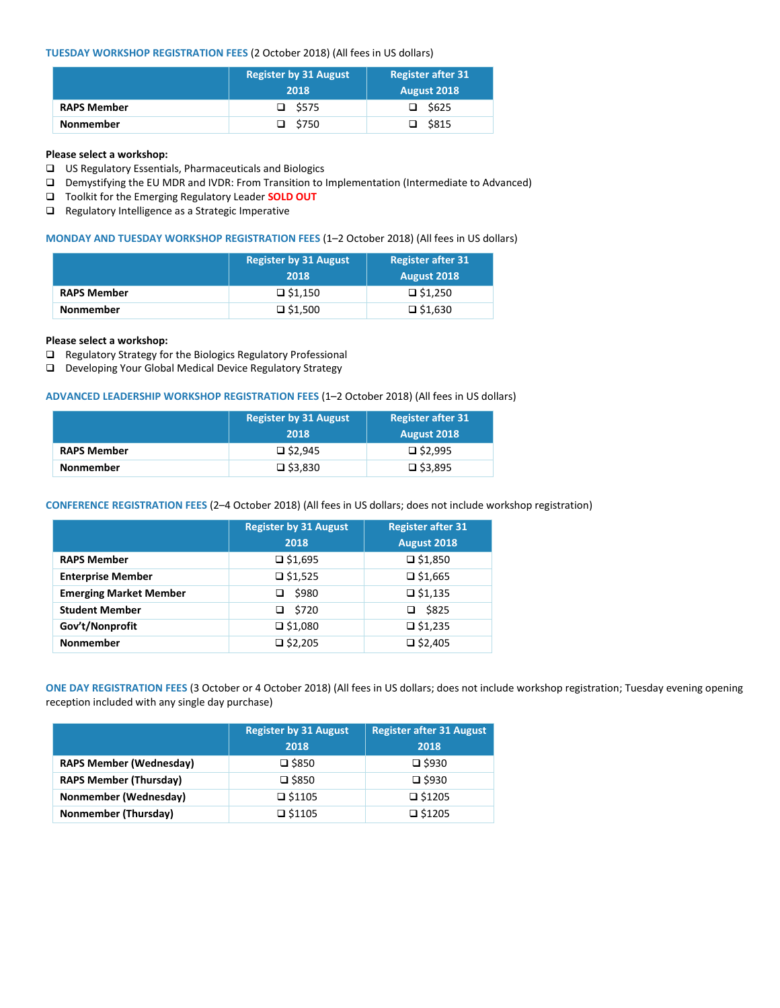# **TUESDAY WORKSHOP REGISTRATION FEES** (2 October 2018) (All fees in US dollars)

|                    | <b>Register by 31 August</b> | <b>Register after 31</b> |
|--------------------|------------------------------|--------------------------|
|                    | 2018                         | August 2018              |
| <b>RAPS Member</b> | $\square$ \$575              | $\Box$ \$625             |
| <b>Nonmember</b>   | $\square$ \$750              | $\square$ \$815          |

## **Please select a workshop:**

- ❑ US Regulatory Essentials, Pharmaceuticals and Biologics
- ❑ Demystifying the EU MDR and IVDR: From Transition to Implementation (Intermediate to Advanced)
- ❑ Toolkit for the Emerging Regulatory Leader **SOLD OUT**
- ❑ Regulatory Intelligence as a Strategic Imperative

## **MONDAY AND TUESDAY WORKSHOP REGISTRATION FEES** (1–2 October 2018) (All fees in US dollars)

|                    | <b>Register by 31 August</b> | <b>Register after 31</b> |  |
|--------------------|------------------------------|--------------------------|--|
|                    | 2018                         | August 2018              |  |
| <b>RAPS Member</b> | $\Box$ \$1,150               | $\square$ \$1.250        |  |
| <b>Nonmember</b>   | $\Box$ \$1,500               | $\square$ \$1,630        |  |

#### **Please select a workshop:**

- ❑ Regulatory Strategy for the Biologics Regulatory Professional
- ❑ Developing Your Global Medical Device Regulatory Strategy

# **ADVANCED LEADERSHIP WORKSHOP REGISTRATION FEES** (1–2 October 2018) (All fees in US dollars)

|                    | <b>Register by 31 August</b> | <b>Register after 31</b> |
|--------------------|------------------------------|--------------------------|
|                    | 2018                         | <b>August 2018</b>       |
| <b>RAPS Member</b> | $\square$ \$2,945            | $\square$ \$2.995        |
| <b>Nonmember</b>   | $\square$ \$3,830            | $\square$ \$3,895        |

# **CONFERENCE REGISTRATION FEES** (2–4 October 2018) (All fees in US dollars; does not include workshop registration)

|                               | <b>Register by 31 August</b> | <b>Register after 31</b> |
|-------------------------------|------------------------------|--------------------------|
|                               | 2018                         | August 2018              |
| <b>RAPS Member</b>            | $\square$ \$1,695            | $\Box$ \$1,850           |
| <b>Enterprise Member</b>      | $\square$ \$1,525            | $\Box$ \$1,665           |
| <b>Emerging Market Member</b> | \$980                        | $\Box$ \$1,135           |
| <b>Student Member</b>         | \$720<br>□                   | \$825<br>◻               |
| Gov't/Nonprofit               | $\Box$ \$1,080               | $\square$ \$1,235        |
| <b>Nonmember</b>              | $\square$ \$2,205            | $\Box$ \$2,405           |

**ONE DAY REGISTRATION FEES** (3 October or 4 October 2018) (All fees in US dollars; does not include workshop registration; Tuesday evening opening reception included with any single day purchase)

|                                | <b>Register by 31 August</b> | <b>Register after 31 August</b> |  |
|--------------------------------|------------------------------|---------------------------------|--|
|                                | 2018                         | 2018                            |  |
| <b>RAPS Member (Wednesday)</b> | $\square$ \$850              | $\square$ \$930                 |  |
| <b>RAPS Member (Thursday)</b>  | $\square$ \$850              | $\square$ \$930                 |  |
| Nonmember (Wednesday)          | $\square$ \$1105             | $\square$ \$1205                |  |
| Nonmember (Thursday)           | $\square$ \$1105             | □ \$1205                        |  |